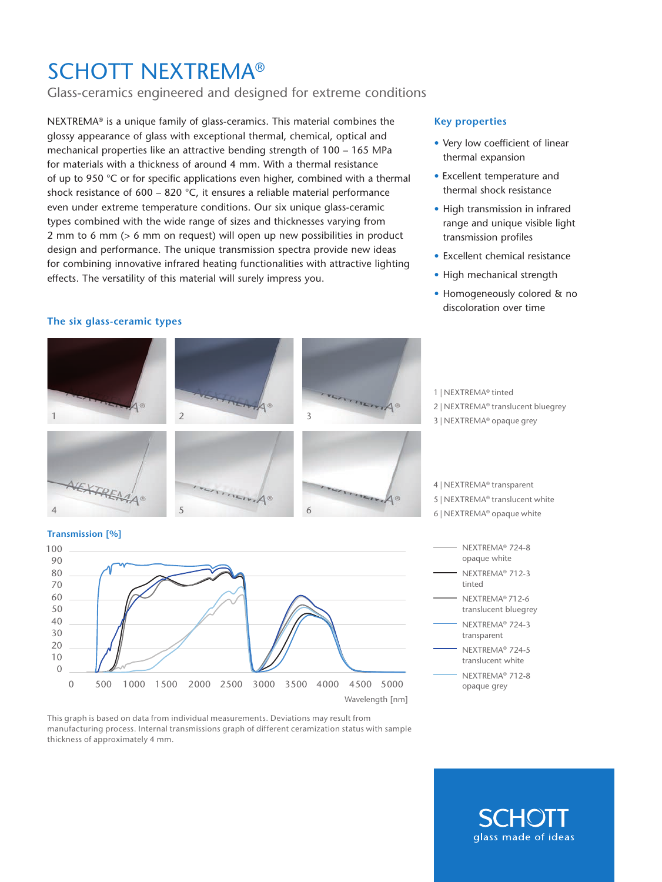## SCHOTT NEXTREMA®

### Glass-ceramics engineered and designed for extreme conditions

NEXTREMA® is a unique family of glass-ceramics. This material combines the glossy appearance of glass with exceptional thermal, chemical, optical and mechanical properties like an attractive bending strength of 100 – 165 MPa for materials with a thickness of around 4 mm. With a thermal resistance of up to 950  $\degree$ C or for specific applications even higher, combined with a thermal shock resistance of 600 – 820 °C, it ensures a reliable material performance even under extreme temperature conditions. Our six unique glass-ceramic types combined with the wide range of sizes and thicknesses varying from 2 mm to 6 mm (> 6 mm on request) will open up new possibilities in product design and performance. The unique transmission spectra provide new ideas for combining innovative infrared heating functionalities with attractive lighting effects. The versatility of this material will surely impress you.

#### **The six glass-ceramic types**

#### **Key properties**

- Very low coefficient of linear thermal expansion
- Excellent temperature and thermal shock resistance
- High transmission in infrared range and unique visible light transmission profiles
- Excellent chemical resistance
- High mechanical strength
- Homogeneously colored & no discoloration over time



This graph is based on data from individual measurements. Deviations may result from manufacturing process. Internal transmissions graph of different ceramization status with sample thickness of approximately 4 mm.